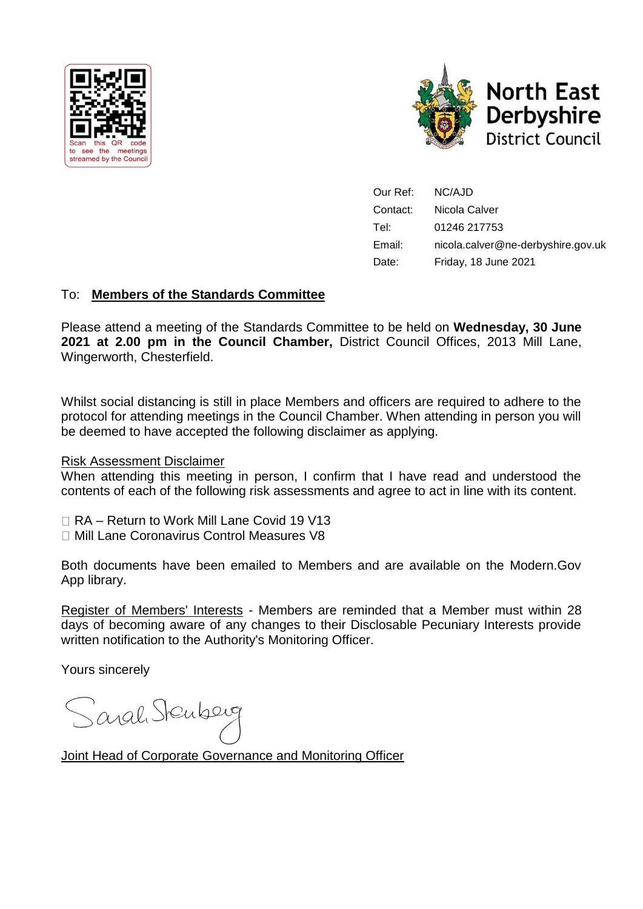



Our Ref: NC/AJD Contact: Nicola Calver Tel: 01246 217753 Email: nicola.calver@ne-derbyshire.gov.uk Date: Friday, 18 June 2021

# To: **Members of the Standards Committee**

Please attend a meeting of the Standards Committee to be held on **Wednesday, 30 June 2021 at 2.00 pm in the Council Chamber,** District Council Offices, 2013 Mill Lane, Wingerworth, Chesterfield.

Whilst social distancing is still in place Members and officers are required to adhere to the protocol for attending meetings in the Council Chamber. When attending in person you will be deemed to have accepted the following disclaimer as applying.

#### Risk Assessment Disclaimer

When attending this meeting in person, I confirm that I have read and understood the contents of each of the following risk assessments and agree to act in line with its content.

□ RA – Return to Work Mill Lane Covid 19 V13

Mill Lane Coronavirus Control Measures V8

Both documents have been emailed to Members and are available on the Modern.Gov App library.

Register of Members' Interests - Members are reminded that a Member must within 28 days of becoming aware of any changes to their Disclosable Pecuniary Interests provide written notification to the Authority's Monitoring Officer.

Yours sincerely

Sarah Stenberg

Joint Head of Corporate Governance and Monitoring Officer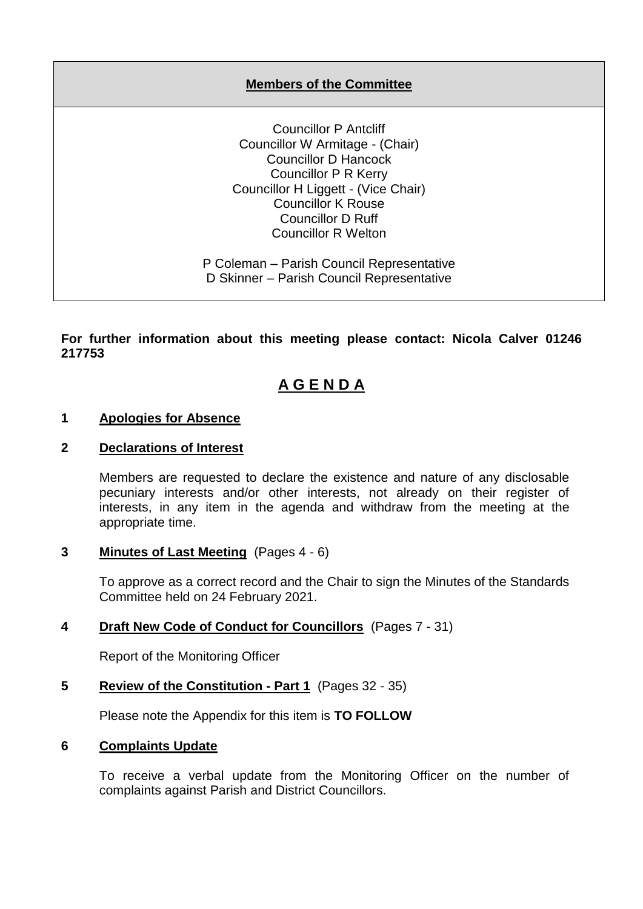# **Members of the Committee**

Councillor P Antcliff Councillor W Armitage - (Chair) Councillor D Hancock Councillor P R Kerry Councillor H Liggett - (Vice Chair) Councillor K Rouse Councillor D Ruff Councillor R Welton

P Coleman – Parish Council Representative D Skinner – Parish Council Representative

**For further information about this meeting please contact: Nicola Calver 01246 217753**

# **A G E N D A**

#### **1 Apologies for Absence**

#### **2 Declarations of Interest**

Members are requested to declare the existence and nature of any disclosable pecuniary interests and/or other interests, not already on their register of interests, in any item in the agenda and withdraw from the meeting at the appropriate time.

#### **3 Minutes of Last Meeting** (Pages 4 - 6)

To approve as a correct record and the Chair to sign the Minutes of the Standards Committee held on 24 February 2021.

## **4 Draft New Code of Conduct for Councillors** (Pages 7 - 31)

Report of the Monitoring Officer

## **5 Review of the Constitution - Part 1** (Pages 32 - 35)

Please note the Appendix for this item is **TO FOLLOW**

#### **6 Complaints Update**

To receive a verbal update from the Monitoring Officer on the number of complaints against Parish and District Councillors.